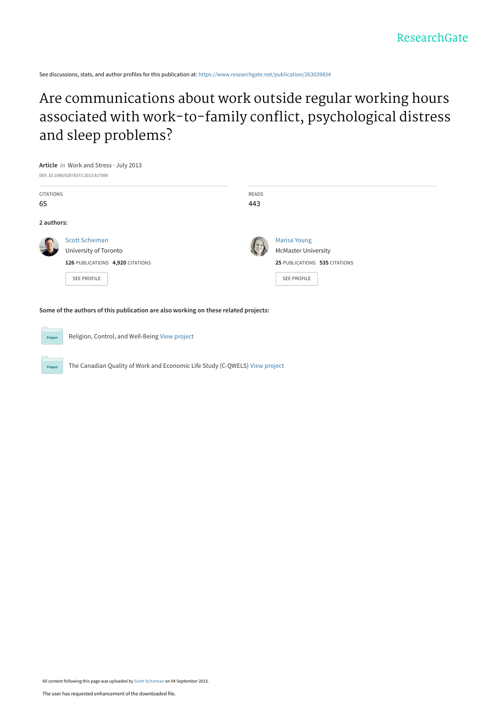See discussions, stats, and author profiles for this publication at: [https://www.researchgate.net/publication/263039834](https://www.researchgate.net/publication/263039834_Are_communications_about_work_outside_regular_working_hours_associated_with_work-to-family_conflict_psychological_distress_and_sleep_problems?enrichId=rgreq-673244b422a70f9c95b145757c1fbfe2-XXX&enrichSource=Y292ZXJQYWdlOzI2MzAzOTgzNDtBUzoyNjk5NjA1NjgxMTExMDRAMTQ0MTM3NTAyMzg1MA%3D%3D&el=1_x_2&_esc=publicationCoverPdf)

## Are communications about work outside regular working hours [associated with work-to-family conflict, psychological distress](https://www.researchgate.net/publication/263039834_Are_communications_about_work_outside_regular_working_hours_associated_with_work-to-family_conflict_psychological_distress_and_sleep_problems?enrichId=rgreq-673244b422a70f9c95b145757c1fbfe2-XXX&enrichSource=Y292ZXJQYWdlOzI2MzAzOTgzNDtBUzoyNjk5NjA1NjgxMTExMDRAMTQ0MTM3NTAyMzg1MA%3D%3D&el=1_x_3&_esc=publicationCoverPdf) and sleep problems?

|                                                                                     | Article in Work and Stress · July 2013<br>DOI: 10.1080/02678373.2013.817090                       |                     |                                                                                                   |  |  |  |  |
|-------------------------------------------------------------------------------------|---------------------------------------------------------------------------------------------------|---------------------|---------------------------------------------------------------------------------------------------|--|--|--|--|
| <b>CITATIONS</b><br>65                                                              |                                                                                                   | <b>READS</b><br>443 |                                                                                                   |  |  |  |  |
| 2 authors:                                                                          |                                                                                                   |                     |                                                                                                   |  |  |  |  |
|                                                                                     | <b>Scott Schieman</b><br>University of Toronto<br>126 PUBLICATIONS 4,920 CITATIONS<br>SEE PROFILE |                     | <b>Marisa Young</b><br><b>McMaster University</b><br>25 PUBLICATIONS 535 CITATIONS<br>SEE PROFILE |  |  |  |  |
| Some of the authors of this publication are also working on these related projects: |                                                                                                   |                     |                                                                                                   |  |  |  |  |



Religion, Control, and Well-Being [View project](https://www.researchgate.net/project/Religion-Control-and-Well-Being?enrichId=rgreq-673244b422a70f9c95b145757c1fbfe2-XXX&enrichSource=Y292ZXJQYWdlOzI2MzAzOTgzNDtBUzoyNjk5NjA1NjgxMTExMDRAMTQ0MTM3NTAyMzg1MA%3D%3D&el=1_x_9&_esc=publicationCoverPdf)

The Canadian Quality of Work and Economic Life Study (C-QWELS) [View project](https://www.researchgate.net/project/The-Canadian-Quality-of-Work-and-Economic-Life-Study-C-QWELS?enrichId=rgreq-673244b422a70f9c95b145757c1fbfe2-XXX&enrichSource=Y292ZXJQYWdlOzI2MzAzOTgzNDtBUzoyNjk5NjA1NjgxMTExMDRAMTQ0MTM3NTAyMzg1MA%3D%3D&el=1_x_9&_esc=publicationCoverPdf)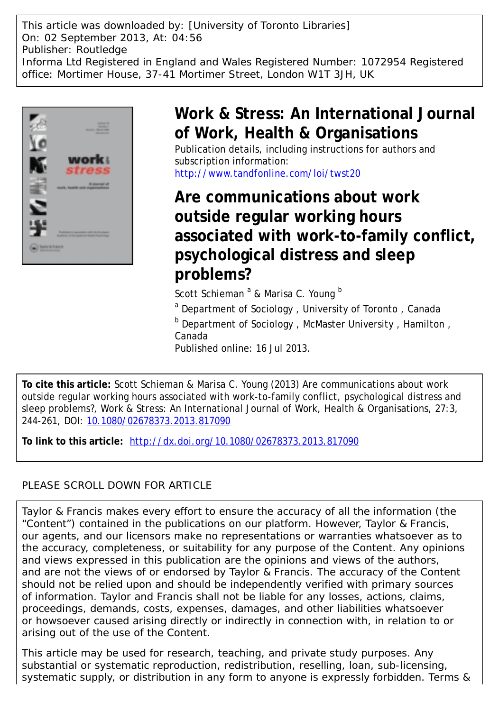This article was downloaded by: [University of Toronto Libraries] On: 02 September 2013, At: 04:56 Publisher: Routledge Informa Ltd Registered in England and Wales Registered Number: 1072954 Registered office: Mortimer House, 37-41 Mortimer Street, London W1T 3JH, UK



**Work & Stress: An International Journal of Work, Health & Organisations** Publication details, including instructions for authors and subscription information:

<http://www.tandfonline.com/loi/twst20>

# **Are communications about work outside regular working hours associated with work-to-family conflict, psychological distress and sleep problems?**

Scott Schieman <sup>a</sup> & Marisa C. Young <sup>b</sup>

a Department of Sociology , University of Toronto , Canada

b Department of Sociology , McMaster University , Hamilton , Canada

Published online: 16 Jul 2013.

**To cite this article:** Scott Schieman & Marisa C. Young (2013) Are communications about work outside regular working hours associated with work-to-family conflict, psychological distress and sleep problems?, Work & Stress: An International Journal of Work, Health & Organisations, 27:3, 244-261, DOI: [10.1080/02678373.2013.817090](http://www.tandfonline.com/action/showCitFormats?doi=10.1080/02678373.2013.817090)

**To link to this article:** <http://dx.doi.org/10.1080/02678373.2013.817090>

## PLEASE SCROLL DOWN FOR ARTICLE

Taylor & Francis makes every effort to ensure the accuracy of all the information (the "Content") contained in the publications on our platform. However, Taylor & Francis, our agents, and our licensors make no representations or warranties whatsoever as to the accuracy, completeness, or suitability for any purpose of the Content. Any opinions and views expressed in this publication are the opinions and views of the authors, and are not the views of or endorsed by Taylor & Francis. The accuracy of the Content should not be relied upon and should be independently verified with primary sources of information. Taylor and Francis shall not be liable for any losses, actions, claims, proceedings, demands, costs, expenses, damages, and other liabilities whatsoever or howsoever caused arising directly or indirectly in connection with, in relation to or arising out of the use of the Content.

This article may be used for research, teaching, and private study purposes. Any substantial or systematic reproduction, redistribution, reselling, loan, sub-licensing, systematic supply, or distribution in any form to anyone is expressly forbidden. Terms &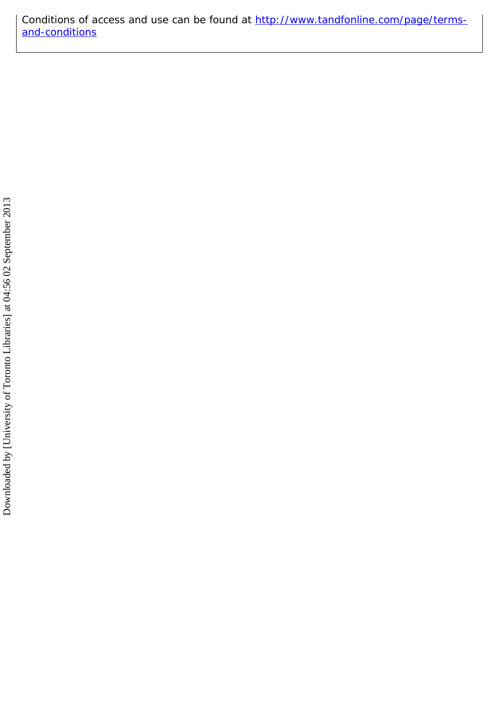Conditions of access and use can be found at [http://www.tandfonline.com/page/terms](http://www.tandfonline.com/page/terms-and-conditions)[and-conditions](http://www.tandfonline.com/page/terms-and-conditions)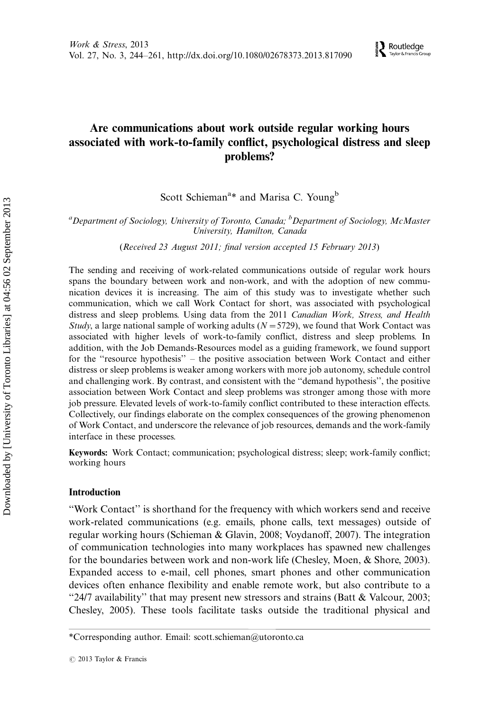### Are communications about work outside regular working hours associated with work-to-family conflict, psychological distress and sleep problems?

Scott Schieman<sup>a\*</sup> and Marisa C. Young<sup>b</sup>

<sup>a</sup>Department of Sociology, University of Toronto, Canada; <sup>b</sup>Department of Sociology, McMaster University, Hamilton, Canada

(Received 23 August 2011; final version accepted 15 February 2013)

The sending and receiving of work-related communications outside of regular work hours spans the boundary between work and non-work, and with the adoption of new communication devices it is increasing. The aim of this study was to investigate whether such communication, which we call Work Contact for short, was associated with psychological distress and sleep problems. Using data from the 2011 Canadian Work, Stress, and Health Study, a large national sample of working adults ( $N=5729$ ), we found that Work Contact was associated with higher levels of work-to-family conflict, distress and sleep problems. In addition, with the Job Demands-Resources model as a guiding framework, we found support for the "resource hypothesis" – the positive association between Work Contact and either distress or sleep problems is weaker among workers with more job autonomy, schedule control and challenging work. By contrast, and consistent with the ''demand hypothesis'', the positive association between Work Contact and sleep problems was stronger among those with more job pressure. Elevated levels of work-to-family conflict contributed to these interaction effects. Collectively, our findings elaborate on the complex consequences of the growing phenomenon of Work Contact, and underscore the relevance of job resources, demands and the work-family interface in these processes.

Keywords: Work Contact; communication; psychological distress; sleep; work-family conflict; working hours

#### Introduction

''Work Contact'' is shorthand for the frequency with which workers send and receive work-related communications (e.g. emails, phone calls, text messages) outside of regular working hours (Schieman & Glavin, 2008; Voydanoff, 2007). The integration of communication technologies into many workplaces has spawned new challenges for the boundaries between work and non-work life (Chesley, Moen, & Shore, 2003). Expanded access to e-mail, cell phones, smart phones and other communication devices often enhance flexibility and enable remote work, but also contribute to a "24/7 availability" that may present new stressors and strains (Batt  $&$  Valcour, 2003; Chesley, 2005). These tools facilitate tasks outside the traditional physical and

<sup>\*</sup>Corresponding author. Email: scott.schieman@utoronto.ca

C 2013 Taylor & Francis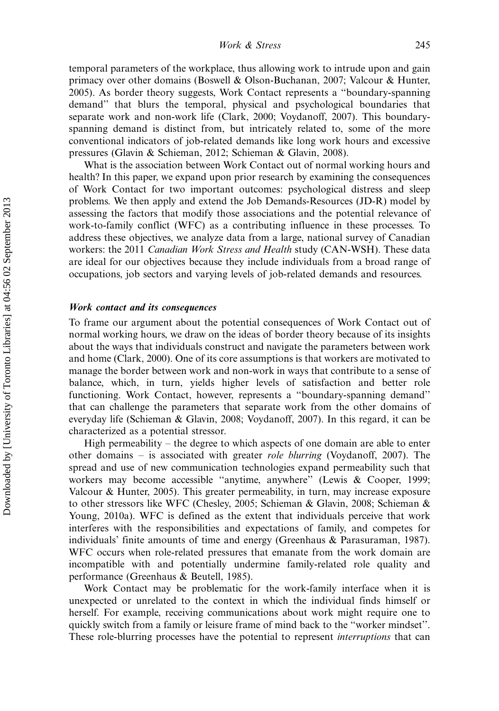temporal parameters of the workplace, thus allowing work to intrude upon and gain primacy over other domains (Boswell & Olson-Buchanan, 2007; Valcour & Hunter, 2005). As border theory suggests, Work Contact represents a ''boundary-spanning demand'' that blurs the temporal, physical and psychological boundaries that separate work and non-work life (Clark, 2000; Voydanoff, 2007). This boundaryspanning demand is distinct from, but intricately related to, some of the more conventional indicators of job-related demands like long work hours and excessive pressures (Glavin & Schieman, 2012; Schieman & Glavin, 2008).

What is the association between Work Contact out of normal working hours and health? In this paper, we expand upon prior research by examining the consequences of Work Contact for two important outcomes: psychological distress and sleep problems. We then apply and extend the Job Demands-Resources (JD-R) model by assessing the factors that modify those associations and the potential relevance of work-to-family conflict (WFC) as a contributing influence in these processes. To address these objectives, we analyze data from a large, national survey of Canadian workers: the 2011 Canadian Work Stress and Health study (CAN-WSH). These data are ideal for our objectives because they include individuals from a broad range of occupations, job sectors and varying levels of job-related demands and resources.

#### Work contact and its consequences

To frame our argument about the potential consequences of Work Contact out of normal working hours, we draw on the ideas of border theory because of its insights about the ways that individuals construct and navigate the parameters between work and home (Clark, 2000). One of its core assumptions is that workers are motivated to manage the border between work and non-work in ways that contribute to a sense of balance, which, in turn, yields higher levels of satisfaction and better role functioning. Work Contact, however, represents a ''boundary-spanning demand'' that can challenge the parameters that separate work from the other domains of everyday life (Schieman & Glavin, 2008; Voydanoff, 2007). In this regard, it can be characterized as a potential stressor.

High permeability – the degree to which aspects of one domain are able to enter other domains – is associated with greater *role blurring* (Voydanoff, 2007). The spread and use of new communication technologies expand permeability such that workers may become accessible ''anytime, anywhere'' (Lewis & Cooper, 1999; Valcour & Hunter, 2005). This greater permeability, in turn, may increase exposure to other stressors like WFC (Chesley, 2005; Schieman & Glavin, 2008; Schieman & Young, 2010a). WFC is defined as the extent that individuals perceive that work interferes with the responsibilities and expectations of family, and competes for individuals' finite amounts of time and energy (Greenhaus & Parasuraman, 1987). WFC occurs when role-related pressures that emanate from the work domain are incompatible with and potentially undermine family-related role quality and performance (Greenhaus & Beutell, 1985).

Work Contact may be problematic for the work-family interface when it is unexpected or unrelated to the context in which the individual finds himself or herself. For example, receiving communications about work might require one to quickly switch from a family or leisure frame of mind back to the ''worker mindset''. These role-blurring processes have the potential to represent interruptions that can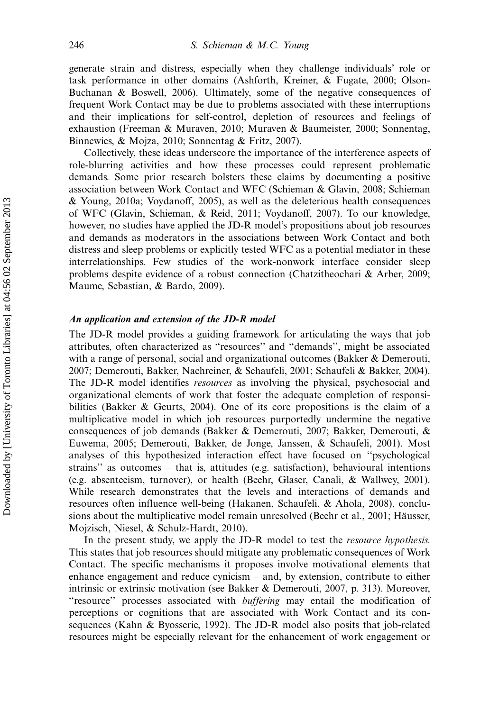generate strain and distress, especially when they challenge individuals' role or task performance in other domains (Ashforth, Kreiner, & Fugate, 2000; Olson-Buchanan & Boswell, 2006). Ultimately, some of the negative consequences of frequent Work Contact may be due to problems associated with these interruptions and their implications for self-control, depletion of resources and feelings of exhaustion (Freeman & Muraven, 2010; Muraven & Baumeister, 2000; Sonnentag, Binnewies, & Mojza, 2010; Sonnentag & Fritz, 2007).

Collectively, these ideas underscore the importance of the interference aspects of role-blurring activities and how these processes could represent problematic demands. Some prior research bolsters these claims by documenting a positive association between Work Contact and WFC (Schieman & Glavin, 2008; Schieman & Young, 2010a; Voydanoff, 2005), as well as the deleterious health consequences of WFC (Glavin, Schieman, & Reid, 2011; Voydanoff, 2007). To our knowledge, however, no studies have applied the JD-R model's propositions about job resources and demands as moderators in the associations between Work Contact and both distress and sleep problems or explicitly tested WFC as a potential mediator in these interrelationships. Few studies of the work-nonwork interface consider sleep problems despite evidence of a robust connection (Chatzitheochari & Arber, 2009; Maume, Sebastian, & Bardo, 2009).

#### An application and extension of the JD-R model

The JD-R model provides a guiding framework for articulating the ways that job attributes, often characterized as ''resources'' and ''demands'', might be associated with a range of personal, social and organizational outcomes (Bakker & Demerouti, 2007; Demerouti, Bakker, Nachreiner, & Schaufeli, 2001; Schaufeli & Bakker, 2004). The JD-R model identifies resources as involving the physical, psychosocial and organizational elements of work that foster the adequate completion of responsibilities (Bakker & Geurts, 2004). One of its core propositions is the claim of a multiplicative model in which job resources purportedly undermine the negative consequences of job demands (Bakker & Demerouti, 2007; Bakker, Demerouti, & Euwema, 2005; Demerouti, Bakker, de Jonge, Janssen, & Schaufeli, 2001). Most analyses of this hypothesized interaction effect have focused on ''psychological strains'' as outcomes - that is, attitudes (e.g. satisfaction), behavioural intentions (e.g. absenteeism, turnover), or health (Beehr, Glaser, Canali, & Wallwey, 2001). While research demonstrates that the levels and interactions of demands and resources often influence well-being (Hakanen, Schaufeli, & Ahola, 2008), conclusions about the multiplicative model remain unresolved (Beehr et al., 2001; Häusser, Mojzisch, Niesel, & Schulz-Hardt, 2010).

In the present study, we apply the JD-R model to test the *resource hypothesis*. This states that job resources should mitigate any problematic consequences of Work Contact. The specific mechanisms it proposes involve motivational elements that enhance engagement and reduce cynicism - and, by extension, contribute to either intrinsic or extrinsic motivation (see Bakker & Demerouti, 2007, p. 313). Moreover, ''resource'' processes associated with buffering may entail the modification of perceptions or cognitions that are associated with Work Contact and its consequences (Kahn & Byosserie, 1992). The JD-R model also posits that job-related resources might be especially relevant for the enhancement of work engagement or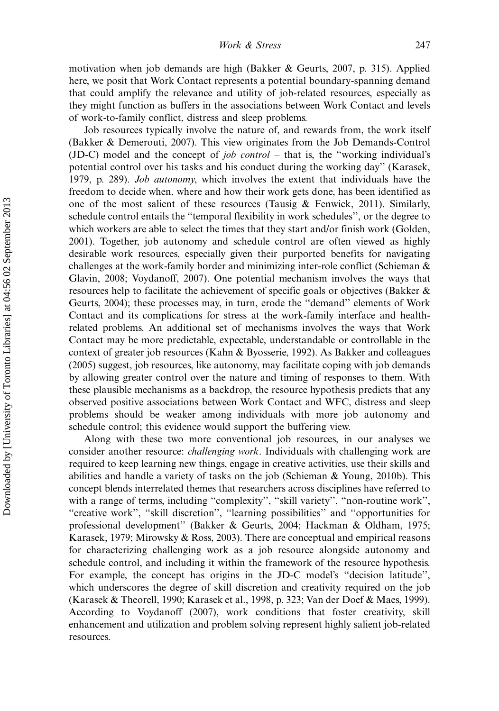motivation when job demands are high (Bakker & Geurts, 2007, p. 315). Applied here, we posit that Work Contact represents a potential boundary-spanning demand that could amplify the relevance and utility of job-related resources, especially as they might function as buffers in the associations between Work Contact and levels of work-to-family conflict, distress and sleep problems.

Job resources typically involve the nature of, and rewards from, the work itself (Bakker & Demerouti, 2007). This view originates from the Job Demands-Control (JD-C) model and the concept of *job control*  $-$  that is, the "working individual's potential control over his tasks and his conduct during the working day'' (Karasek, 1979, p. 289). Job autonomy, which involves the extent that individuals have the freedom to decide when, where and how their work gets done, has been identified as one of the most salient of these resources (Tausig  $\&$  Fenwick, 2011). Similarly, schedule control entails the ''temporal flexibility in work schedules'', or the degree to which workers are able to select the times that they start and/or finish work (Golden, 2001). Together, job autonomy and schedule control are often viewed as highly desirable work resources, especially given their purported benefits for navigating challenges at the work-family border and minimizing inter-role conflict (Schieman & Glavin, 2008; Voydanoff, 2007). One potential mechanism involves the ways that resources help to facilitate the achievement of specific goals or objectives (Bakker & Geurts, 2004); these processes may, in turn, erode the ''demand'' elements of Work Contact and its complications for stress at the work-family interface and healthrelated problems. An additional set of mechanisms involves the ways that Work Contact may be more predictable, expectable, understandable or controllable in the context of greater job resources (Kahn & Byosserie, 1992). As Bakker and colleagues (2005) suggest, job resources, like autonomy, may facilitate coping with job demands by allowing greater control over the nature and timing of responses to them. With these plausible mechanisms as a backdrop, the resource hypothesis predicts that any observed positive associations between Work Contact and WFC, distress and sleep problems should be weaker among individuals with more job autonomy and schedule control; this evidence would support the buffering view.

Along with these two more conventional job resources, in our analyses we consider another resource: challenging work. Individuals with challenging work are required to keep learning new things, engage in creative activities, use their skills and abilities and handle a variety of tasks on the job (Schieman & Young, 2010b). This concept blends interrelated themes that researchers across disciplines have referred to with a range of terms, including ''complexity'', ''skill variety'', ''non-routine work'', "creative work", "skill discretion", "learning possibilities" and "opportunities for professional development'' (Bakker & Geurts, 2004; Hackman & Oldham, 1975; Karasek, 1979; Mirowsky & Ross, 2003). There are conceptual and empirical reasons for characterizing challenging work as a job resource alongside autonomy and schedule control, and including it within the framework of the resource hypothesis. For example, the concept has origins in the JD-C model's ''decision latitude'', which underscores the degree of skill discretion and creativity required on the job (Karasek & Theorell, 1990; Karasek et al., 1998, p. 323; Van der Doef & Maes, 1999). According to Voydanoff (2007), work conditions that foster creativity, skill enhancement and utilization and problem solving represent highly salient job-related resources.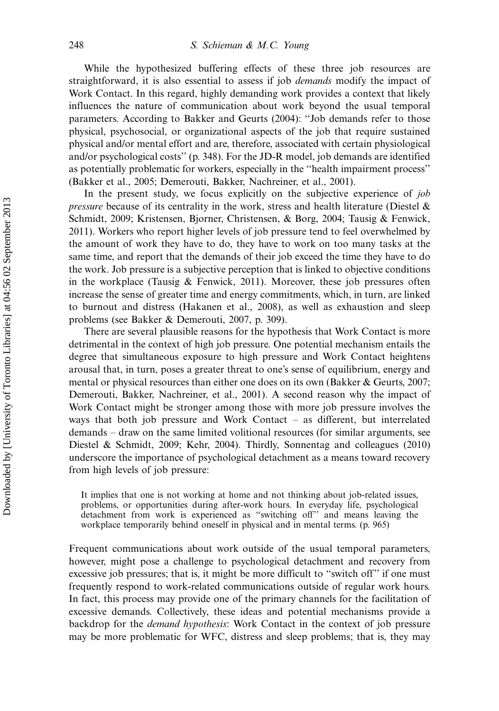While the hypothesized buffering effects of these three job resources are straightforward, it is also essential to assess if job demands modify the impact of Work Contact. In this regard, highly demanding work provides a context that likely influences the nature of communication about work beyond the usual temporal parameters. According to Bakker and Geurts (2004): ''Job demands refer to those physical, psychosocial, or organizational aspects of the job that require sustained physical and/or mental effort and are, therefore, associated with certain physiological and/or psychological costs'' (p. 348). For the JD-R model, job demands are identified as potentially problematic for workers, especially in the ''health impairment process'' (Bakker et al., 2005; Demerouti, Bakker, Nachreiner, et al., 2001).

In the present study, we focus explicitly on the subjective experience of job *pressure* because of its centrality in the work, stress and health literature (Diestel  $\&$ Schmidt, 2009; Kristensen, Bjorner, Christensen, & Borg, 2004; Tausig & Fenwick, 2011). Workers who report higher levels of job pressure tend to feel overwhelmed by the amount of work they have to do, they have to work on too many tasks at the same time, and report that the demands of their job exceed the time they have to do the work. Job pressure is a subjective perception that is linked to objective conditions in the workplace (Tausig & Fenwick, 2011). Moreover, these job pressures often increase the sense of greater time and energy commitments, which, in turn, are linked to burnout and distress (Hakanen et al., 2008), as well as exhaustion and sleep problems (see Bakker & Demerouti, 2007, p. 309).

There are several plausible reasons for the hypothesis that Work Contact is more detrimental in the context of high job pressure. One potential mechanism entails the degree that simultaneous exposure to high pressure and Work Contact heightens arousal that, in turn, poses a greater threat to one's sense of equilibrium, energy and mental or physical resources than either one does on its own (Bakker & Geurts, 2007; Demerouti, Bakker, Nachreiner, et al., 2001). A second reason why the impact of Work Contact might be stronger among those with more job pressure involves the ways that both job pressure and Work Contact - as different, but interrelated demands - draw on the same limited volitional resources (for similar arguments, see Diestel & Schmidt, 2009; Kehr, 2004). Thirdly, Sonnentag and colleagues (2010) underscore the importance of psychological detachment as a means toward recovery from high levels of job pressure:

It implies that one is not working at home and not thinking about job-related issues, problems, or opportunities during after-work hours. In everyday life, psychological detachment from work is experienced as ''switching off'' and means leaving the workplace temporarily behind oneself in physical and in mental terms. (p. 965)

Frequent communications about work outside of the usual temporal parameters, however, might pose a challenge to psychological detachment and recovery from excessive job pressures; that is, it might be more difficult to ''switch off'' if one must frequently respond to work-related communications outside of regular work hours. In fact, this process may provide one of the primary channels for the facilitation of excessive demands. Collectively, these ideas and potential mechanisms provide a backdrop for the demand hypothesis: Work Contact in the context of job pressure may be more problematic for WFC, distress and sleep problems; that is, they may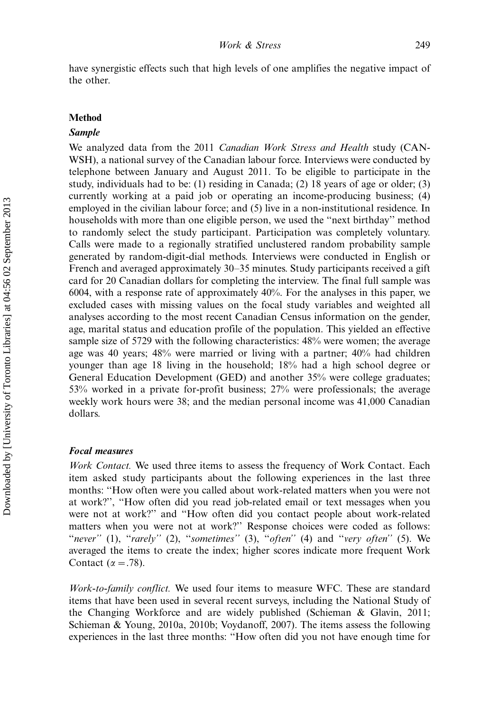#### Method

the other.

#### Sample

We analyzed data from the 2011 Canadian Work Stress and Health study (CAN-WSH), a national survey of the Canadian labour force. Interviews were conducted by telephone between January and August 2011. To be eligible to participate in the study, individuals had to be: (1) residing in Canada; (2) 18 years of age or older; (3) currently working at a paid job or operating an income-producing business; (4) employed in the civilian labour force; and (5) live in a non-institutional residence. In households with more than one eligible person, we used the ''next birthday'' method to randomly select the study participant. Participation was completely voluntary. Calls were made to a regionally stratified unclustered random probability sample generated by random-digit-dial methods. Interviews were conducted in English or French and averaged approximately 30-35 minutes. Study participants received a gift card for 20 Canadian dollars for completing the interview. The final full sample was 6004, with a response rate of approximately 40%. For the analyses in this paper, we excluded cases with missing values on the focal study variables and weighted all analyses according to the most recent Canadian Census information on the gender, age, marital status and education profile of the population. This yielded an effective sample size of 5729 with the following characteristics: 48% were women; the average age was 40 years; 48% were married or living with a partner; 40% had children younger than age 18 living in the household; 18% had a high school degree or General Education Development (GED) and another 35% were college graduates; 53% worked in a private for-profit business; 27% were professionals; the average weekly work hours were 38; and the median personal income was 41,000 Canadian dollars.

#### Focal measures

Work Contact. We used three items to assess the frequency of Work Contact. Each item asked study participants about the following experiences in the last three months: ''How often were you called about work-related matters when you were not at work?'', ''How often did you read job-related email or text messages when you were not at work?'' and ''How often did you contact people about work-related matters when you were not at work?'' Response choices were coded as follows: "never"  $(1)$ , "rarely"  $(2)$ , "sometimes"  $(3)$ , "often"  $(4)$  and "very often"  $(5)$ . We averaged the items to create the index; higher scores indicate more frequent Work Contact ( $\alpha = .78$ ).

Work-to-family conflict. We used four items to measure WFC. These are standard items that have been used in several recent surveys, including the National Study of the Changing Workforce and are widely published (Schieman & Glavin, 2011; Schieman & Young, 2010a, 2010b; Voydanoff, 2007). The items assess the following experiences in the last three months: ''How often did you not have enough time for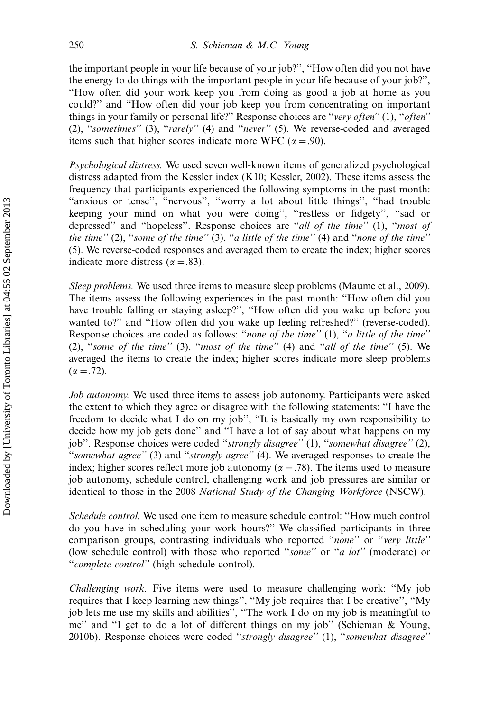the important people in your life because of your job?'', ''How often did you not have the energy to do things with the important people in your life because of your job?'', ''How often did your work keep you from doing as good a job at home as you could?'' and ''How often did your job keep you from concentrating on important things in your family or personal life?'' Response choices are ''very often'' (1), ''often'' (2), ''sometimes'' (3), ''rarely'' (4) and ''never'' (5). We reverse-coded and averaged items such that higher scores indicate more WFC ( $\alpha = .90$ ).

Psychological distress. We used seven well-known items of generalized psychological distress adapted from the Kessler index (K10; Kessler, 2002). These items assess the frequency that participants experienced the following symptoms in the past month: "anxious or tense", "nervous", "worry a lot about little things", "had trouble keeping your mind on what you were doing'', ''restless or fidgety'', ''sad or depressed" and "hopeless". Response choices are "all of the time" (1), "most of the time"  $(2)$ , "some of the time"  $(3)$ , "a little of the time"  $(4)$  and "none of the time" (5). We reverse-coded responses and averaged them to create the index; higher scores indicate more distress ( $\alpha = .83$ ).

Sleep problems. We used three items to measure sleep problems (Maume et al., 2009). The items assess the following experiences in the past month: ''How often did you have trouble falling or staying asleep?'', ''How often did you wake up before you wanted to?'' and ''How often did you wake up feeling refreshed?'' (reverse-coded). Response choices are coded as follows: "none of the time" (1), "a little of the time" (2), ''some of the time'' (3), ''most of the time'' (4) and ''all of the time'' (5). We averaged the items to create the index; higher scores indicate more sleep problems  $(\alpha = .72)$ .

Job autonomy. We used three items to assess job autonomy. Participants were asked the extent to which they agree or disagree with the following statements: ''I have the freedom to decide what I do on my job'', ''It is basically my own responsibility to decide how my job gets done'' and ''I have a lot of say about what happens on my job''. Response choices were coded ''strongly disagree'' (1), ''somewhat disagree'' (2), "somewhat agree" (3) and "strongly agree" (4). We averaged responses to create the index; higher scores reflect more job autonomy ( $\alpha = .78$ ). The items used to measure job autonomy, schedule control, challenging work and job pressures are similar or identical to those in the 2008 National Study of the Changing Workforce (NSCW).

Schedule control. We used one item to measure schedule control: ''How much control do you have in scheduling your work hours?'' We classified participants in three comparison groups, contrasting individuals who reported ''none'' or ''very little'' (low schedule control) with those who reported "some" or "a lot" (moderate) or "complete control" (high schedule control).

Challenging work. Five items were used to measure challenging work: ''My job requires that I keep learning new things'', ''My job requires that I be creative'', ''My job lets me use my skills and abilities'', ''The work I do on my job is meaningful to me'' and ''I get to do a lot of different things on my job'' (Schieman & Young, 2010b). Response choices were coded ''strongly disagree'' (1), ''somewhat disagree''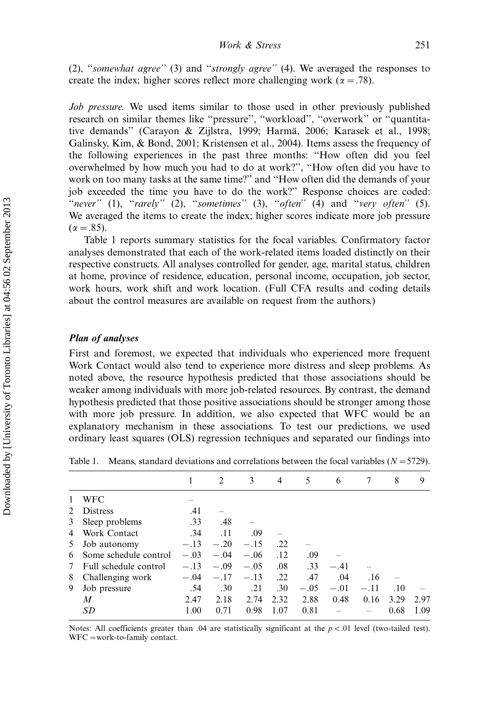(2), ''somewhat agree'' (3) and ''strongly agree'' (4). We averaged the responses to create the index; higher scores reflect more challenging work ( $\alpha = .78$ ).

Job pressure. We used items similar to those used in other previously published research on similar themes like ''pressure'', ''workload'', ''overwork'' or ''quantitative demands" (Carayon & Zijlstra, 1999; Harmä, 2006; Karasek et al., 1998; Galinsky, Kim, & Bond, 2001; Kristensen et al., 2004). Items assess the frequency of the following experiences in the past three months: ''How often did you feel overwhelmed by how much you had to do at work?'', ''How often did you have to work on too many tasks at the same time?'' and ''How often did the demands of your job exceeded the time you have to do the work?'' Response choices are coded: "never"  $(1)$ , "rarely"  $(2)$ , "sometimes"  $(3)$ , "often"  $(4)$  and "very often"  $(5)$ . We averaged the items to create the index; higher scores indicate more job pressure  $(\alpha = .85)$ .

Table 1 reports summary statistics for the focal variables. Confirmatory factor analyses demonstrated that each of the work-related items loaded distinctly on their respective constructs. All analyses controlled for gender, age, marital status, children at home, province of residence, education, personal income, occupation, job sector, work hours, work shift and work location. (Full CFA results and coding details about the control measures are available on request from the authors.)

#### Plan of analyses

First and foremost, we expected that individuals who experienced more frequent Work Contact would also tend to experience more distress and sleep problems. As noted above, the resource hypothesis predicted that those associations should be weaker among individuals with more job-related resources. By contrast, the demand hypothesis predicted that those positive associations should be stronger among those with more job pressure. In addition, we also expected that WFC would be an explanatory mechanism in these associations. To test our predictions, we used ordinary least squares (OLS) regression techniques and separated our findings into

|                       |        | $\mathcal{L}$ | 3      | 4    | 5      | 6      |        | 8    | 9    |
|-----------------------|--------|---------------|--------|------|--------|--------|--------|------|------|
| <b>WFC</b>            |        |               |        |      |        |        |        |      |      |
| <b>Distress</b>       | .41    |               |        |      |        |        |        |      |      |
| Sleep problems        | .33    | .48           |        |      |        |        |        |      |      |
| Work Contact          | .34    | .11           | .09    |      |        |        |        |      |      |
| Job autonomy          | $-.13$ | $-.20$        | $-.15$ | .22  |        |        |        |      |      |
| Some schedule control | $-.03$ | $-.04$        | $-.06$ | .12  | .09    |        |        |      |      |
| Full schedule control | $-.13$ | $-.09$        | $-.05$ | .08  | .33    | $-.41$ |        |      |      |
| Challenging work      | $-.04$ | $-.17$        | $-.13$ | .22  | .47    | .04    | .16    |      |      |
| Job pressure          | .54    | .30           | .21    | .30  | $-.05$ | $-.01$ | $-.11$ | .10  |      |
| M                     | 2.47   | 2.18          | 2.74   | 2.32 | 2.88   | 0.48   | 0.16   | 3.29 | 2.97 |
| <i>SD</i>             | 1.00   | 0.71          | 0.98   | 1.07 | 0.81   |        |        | 0.68 | 1.09 |
|                       |        |               |        |      |        |        |        |      |      |

Table 1. Means, standard deviations and correlations between the focal variables  $(N=5729)$ .

Notes: All coefficients greater than .04 are statistically significant at the  $p < 01$  level (two-tailed test).  $WFC = work-to-family contact.$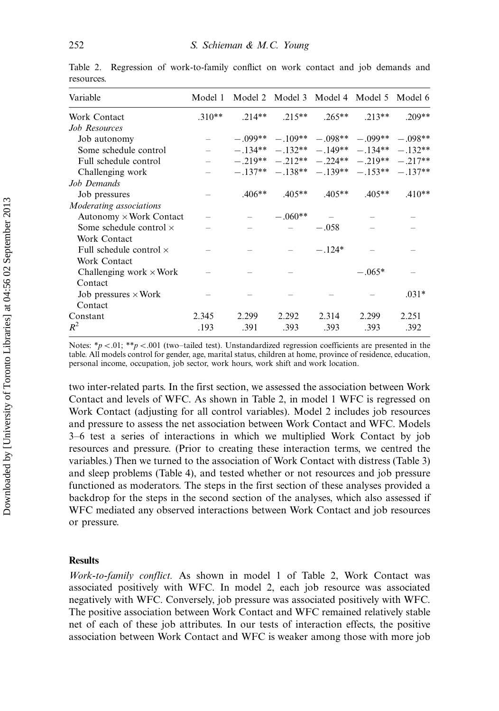| Variable                       | Model 1  |          |             |          | Model 2 Model 3 Model 4 Model 5 Model 6              |          |
|--------------------------------|----------|----------|-------------|----------|------------------------------------------------------|----------|
| Work Contact                   | $.310**$ | $.214**$ | $.215**$    | $.265**$ | $.213**$                                             | $.209**$ |
| Job Resources                  |          |          |             |          |                                                      |          |
| Job autonomy                   |          |          |             |          | $-0.099**$ $-109**$ $-0.098**$ $-0.099**$ $-0.098**$ |          |
| Some schedule control          |          |          |             |          | $-134**$ $-132**$ $-149**$ $-134**$ $-132**$         |          |
| Full schedule control          |          |          |             |          | $-.219***$ $-.212**$ $-.224**$ $-.219**$ $-.217**$   |          |
| Challenging work               |          |          |             |          | $-137**$ $-138**$ $-139**$ $-153**$ $-137**$         |          |
| Job Demands                    |          |          |             |          |                                                      |          |
| Job pressures                  |          | $.406**$ | $.405**$    | $.405**$ | $.405**$                                             | $.410**$ |
| Moderating associations        |          |          |             |          |                                                      |          |
| Autonomy $\times$ Work Contact |          |          | $ -$ .060** |          |                                                      |          |
| Some schedule control $\times$ |          |          |             | $-.058$  |                                                      |          |
| <b>Work Contact</b>            |          |          |             |          |                                                      |          |
| Full schedule control $\times$ |          |          |             | $-.124*$ |                                                      |          |
| <b>Work Contact</b>            |          |          |             |          |                                                      |          |
| Challenging work $\times$ Work |          |          |             |          | $-.065*$                                             |          |
| Contact                        |          |          |             |          |                                                      |          |
| Job pressures $\times$ Work    |          |          |             |          |                                                      | $.031*$  |
| Contact                        |          |          |             |          |                                                      |          |
| Constant                       | 2.345    | 2.299    | 2.292       | 2.314    | 2.299                                                | 2.251    |
| $R^2$                          | .193     | .391     | .393        | .393     | .393                                                 | .392     |

Table 2. Regression of work-to-family conflict on work contact and job demands and resources.

Notes:  $\ast p < 0.01$ ;  $\ast \ast p < 0.001$  (two-tailed test). Unstandardized regression coefficients are presented in the table. All models control for gender, age, marital status, children at home, province of residence, education, personal income, occupation, job sector, work hours, work shift and work location.

two inter-related parts. In the first section, we assessed the association between Work Contact and levels of WFC. As shown in Table 2, in model 1 WFC is regressed on Work Contact (adjusting for all control variables). Model 2 includes job resources and pressure to assess the net association between Work Contact and WFC. Models 3-6 test a series of interactions in which we multiplied Work Contact by job resources and pressure. (Prior to creating these interaction terms, we centred the variables.) Then we turned to the association of Work Contact with distress (Table 3) and sleep problems (Table 4), and tested whether or not resources and job pressure functioned as moderators. The steps in the first section of these analyses provided a backdrop for the steps in the second section of the analyses, which also assessed if WFC mediated any observed interactions between Work Contact and job resources or pressure.

#### Results

Work-to-family conflict. As shown in model 1 of Table 2, Work Contact was associated positively with WFC. In model 2, each job resource was associated negatively with WFC. Conversely, job pressure was associated positively with WFC. The positive association between Work Contact and WFC remained relatively stable net of each of these job attributes. In our tests of interaction effects, the positive association between Work Contact and WFC is weaker among those with more job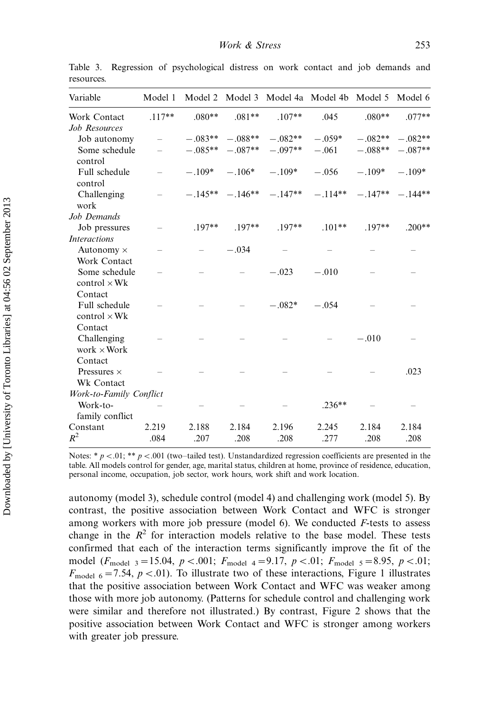| Variable                 | Model 1                  |           |           |           | Model 2 Model 3 Model 4a Model 4b Model 5 |           | Model 6   |
|--------------------------|--------------------------|-----------|-----------|-----------|-------------------------------------------|-----------|-----------|
| <b>Work Contact</b>      | $.117**$                 | $.080**$  | $.081**$  | $.107**$  | .045                                      | $.080**$  | $.077**$  |
| Job Resources            |                          |           |           |           |                                           |           |           |
| Job autonomy             | $\overline{\phantom{0}}$ | $-.083**$ | $-.088**$ | $-.082**$ | $-.059*$                                  | $-.082**$ | $-.082**$ |
| Some schedule<br>control |                          | $-.085**$ | $-.087**$ | $-.097**$ | $-.061$                                   | $-.088**$ | $-.087**$ |
| Full schedule<br>control |                          | $-.109*$  | $-.106*$  | $-.109*$  | $-.056$                                   | $-.109*$  | $-.109*$  |
| Challenging<br>work      |                          | $-.145**$ | $-.146**$ | $-.147**$ | $-.114**$                                 | $-.147**$ | $-144**$  |
| Job Demands              |                          |           |           |           |                                           |           |           |
| Job pressures            |                          | $197**$   | $197**$   | $197**$   | $.101**$                                  | $197**$   | $.200**$  |
| <b>Interactions</b>      |                          |           |           |           |                                           |           |           |
| Autonomy $\times$        |                          |           | $-.034$   |           |                                           |           |           |
| Work Contact             |                          |           |           |           |                                           |           |           |
| Some schedule            |                          |           |           | $-.023$   | $-.010$                                   |           |           |
| $control \times Wk$      |                          |           |           |           |                                           |           |           |
| Contact                  |                          |           |           |           |                                           |           |           |
| Full schedule            |                          |           |           | $-.082*$  | $-.054$                                   |           |           |
| $control \times Wk$      |                          |           |           |           |                                           |           |           |
| Contact                  |                          |           |           |           |                                           |           |           |
| Challenging              |                          |           |           |           |                                           | $-.010$   |           |
| work $\times$ Work       |                          |           |           |           |                                           |           |           |
| Contact                  |                          |           |           |           |                                           |           |           |
| Pressures $\times$       |                          |           |           |           |                                           |           | .023      |
| Wk Contact               |                          |           |           |           |                                           |           |           |
| Work-to-Family Conflict  |                          |           |           |           |                                           |           |           |
| Work-to-                 |                          |           |           |           | $.236**$                                  |           |           |
| family conflict          |                          |           |           |           |                                           |           |           |
| Constant                 | 2.219                    | 2.188     | 2.184     | 2.196     | 2.245                                     | 2.184     | 2.184     |
| $R^2$                    | .084                     | .207      | .208      | .208      | .277                                      | .208      | .208      |

Table 3. Regression of psychological distress on work contact and job demands and resources.

Notes:  $* p < 0.01$ ;  $** p < 0.001$  (two-tailed test). Unstandardized regression coefficients are presented in the table. All models control for gender, age, marital status, children at home, province of residence, education, personal income, occupation, job sector, work hours, work shift and work location.

autonomy (model 3), schedule control (model 4) and challenging work (model 5). By contrast, the positive association between Work Contact and WFC is stronger among workers with more job pressure (model 6). We conducted F-tests to assess change in the  $R^2$  for interaction models relative to the base model. These tests confirmed that each of the interaction terms significantly improve the fit of the model  $(F_{\text{model 3}}=15.04, p<.001; F_{\text{model 4}}=9.17, p<.01; F_{\text{model 5}}=8.95, p<.01;$  $F_{\text{model 6}} = 7.54$ , p < 0.01). To illustrate two of these interactions, Figure 1 illustrates that the positive association between Work Contact and WFC was weaker among those with more job autonomy. (Patterns for schedule control and challenging work were similar and therefore not illustrated.) By contrast, Figure 2 shows that the positive association between Work Contact and WFC is stronger among workers with greater job pressure.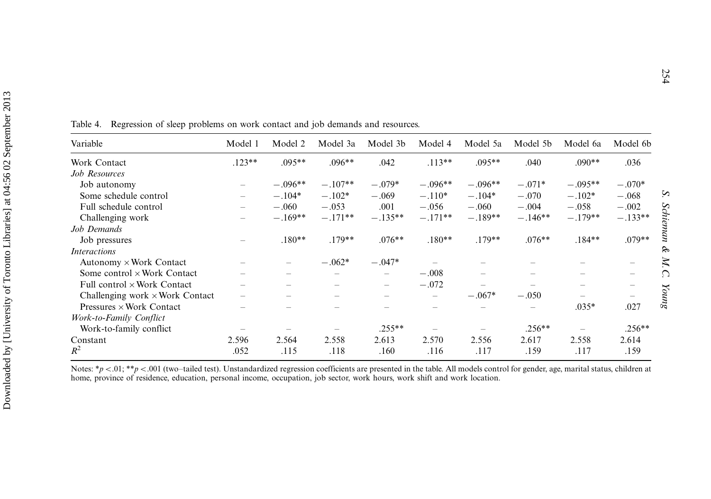| Variable                               | Model 1  | Model 2   | Model 3a  | Model 3b                        | Model 4                  | Model 5a  | Model 5b  | Model 6a  | Model 6b                 |            |
|----------------------------------------|----------|-----------|-----------|---------------------------------|--------------------------|-----------|-----------|-----------|--------------------------|------------|
| Work Contact                           | $.123**$ | $.095**$  | $.096**$  | .042                            | $.113**$                 | $.095**$  | .040      | $.090**$  | .036                     |            |
| Job Resources                          |          |           |           |                                 |                          |           |           |           |                          |            |
| Job autonomy                           |          | $-.096**$ | $-.107**$ | $-.079*$                        | $-.096**$                | $-.096**$ | $-.071*$  | $-.095**$ | $-.070*$                 |            |
| Some schedule control                  |          | $-.104*$  | $-.102*$  | $-.069$                         | $-.110*$                 | $-.104*$  | $-.070$   | $-.102*$  | $-.068$                  | Š          |
| Full schedule control                  |          | $-.060$   | $-.053$   | .001                            | $-.056$                  | $-.060$   | $-.004$   | $-.058$   | $-.002$                  |            |
| Challenging work                       |          | $-.169**$ | $-.171**$ | $-.135**$                       | $-.171**$                | $-.189**$ | $-.146**$ | $-.179**$ | $-.133**$                | Schieman   |
| Job Demands                            |          |           |           |                                 |                          |           |           |           |                          |            |
| Job pressures                          |          | $.180**$  | $.179**$  | $.076**$                        | $.180**$                 | $.179**$  | $.076**$  | $.184**$  | $.079**$                 |            |
| <i>Interactions</i>                    |          |           |           |                                 |                          |           |           |           |                          | É          |
| Autonomy $\times$ Work Contact         |          |           | $-.062*$  | $-.047*$                        |                          |           |           |           |                          | N.         |
| Some control $\times$ Work Contact     |          |           |           | $\qquad \qquad$                 | $-.008$                  |           |           |           | $\overline{\phantom{0}}$ | C.         |
| Full control $\times$ Work Contact     |          |           |           | $\overline{\phantom{0}}$        | $-.072$                  |           |           |           |                          |            |
| Challenging work $\times$ Work Contact |          |           |           | $\hspace{0.1in} \hspace{0.1in}$ | $\overline{\phantom{m}}$ | $-.067*$  | $-.050$   |           |                          | $\it Yang$ |
| Pressures $\times$ Work Contact        |          |           |           |                                 |                          |           |           | $.035*$   | .027                     |            |
| Work-to-Family Conflict                |          |           |           |                                 |                          |           |           |           |                          |            |
| Work-to-family conflict                |          |           |           | $.255**$                        |                          |           | $.256**$  |           | $.256**$                 |            |
| Constant                               | 2.596    | 2.564     | 2.558     | 2.613                           | 2.570                    | 2.556     | 2.617     | 2.558     | 2.614                    |            |
| $R^2$                                  | .052     | .115      | .118      | .160                            | .116                     | .117      | .159      | .117      | .159                     |            |

Table 4. Regression of sleep problems on work contact and job demands and resources.

Notes:  $\phi$  < 01; \*\*p < 001 (two-tailed test). Unstandardized regression coefficients are presented in the table. All models control for gender, age, marital status, children at home, province of residence, education, personal income, occupation, job sector, work hours, work shift and work location.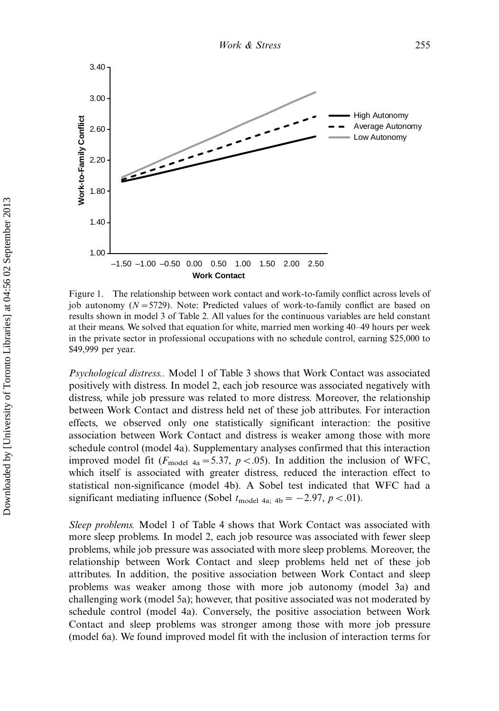

Figure 1. The relationship between work contact and work-to-family conflict across levels of job autonomy ( $N=5729$ ). Note: Predicted values of work-to-family conflict are based on results shown in model 3 of Table 2. All values for the continuous variables are held constant at their means. We solved that equation for white, married men working 40-49 hours per week in the private sector in professional occupations with no schedule control, earning \$25,000 to \$49,999 per year.

Psychological distress.. Model 1 of Table 3 shows that Work Contact was associated positively with distress. In model 2, each job resource was associated negatively with distress, while job pressure was related to more distress. Moreover, the relationship between Work Contact and distress held net of these job attributes. For interaction effects, we observed only one statistically significant interaction: the positive association between Work Contact and distress is weaker among those with more schedule control (model 4a). Supplementary analyses confirmed that this interaction improved model fit ( $F_{\text{model 4a}}$ =5.37, p <.05). In addition the inclusion of WFC, which itself is associated with greater distress, reduced the interaction effect to statistical non-significance (model 4b). A Sobel test indicated that WFC had a significant mediating influence (Sobel  $t_{\text{model 4a; 4b}} = -2.97, p < 0.01$ ).

Sleep problems. Model 1 of Table 4 shows that Work Contact was associated with more sleep problems. In model 2, each job resource was associated with fewer sleep problems, while job pressure was associated with more sleep problems. Moreover, the relationship between Work Contact and sleep problems held net of these job attributes. In addition, the positive association between Work Contact and sleep problems was weaker among those with more job autonomy (model 3a) and challenging work (model 5a); however, that positive associated was not moderated by schedule control (model 4a). Conversely, the positive association between Work Contact and sleep problems was stronger among those with more job pressure (model 6a). We found improved model fit with the inclusion of interaction terms for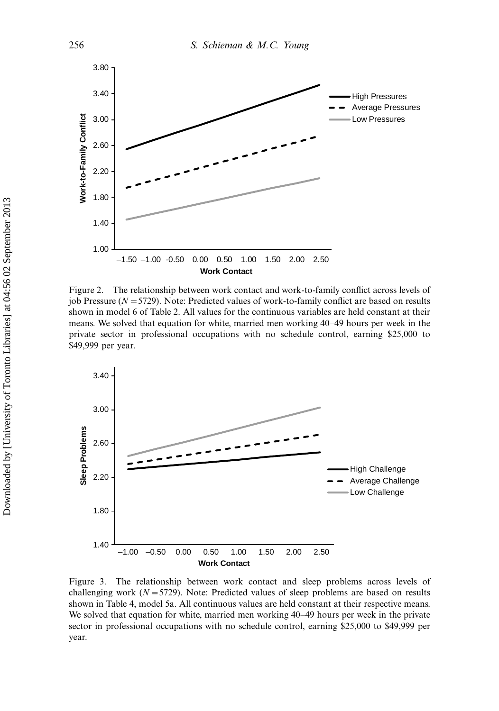

Figure 2. The relationship between work contact and work-to-family conflict across levels of job Pressure ( $N=5729$ ). Note: Predicted values of work-to-family conflict are based on results shown in model 6 of Table 2. All values for the continuous variables are held constant at their means. We solved that equation for white, married men working 40-49 hours per week in the private sector in professional occupations with no schedule control, earning \$25,000 to \$49,999 per year.



Figure 3. The relationship between work contact and sleep problems across levels of challenging work ( $N=5729$ ). Note: Predicted values of sleep problems are based on results shown in Table 4, model 5a. All continuous values are held constant at their respective means. We solved that equation for white, married men working 40-49 hours per week in the private sector in professional occupations with no schedule control, earning \$25,000 to \$49,999 per year.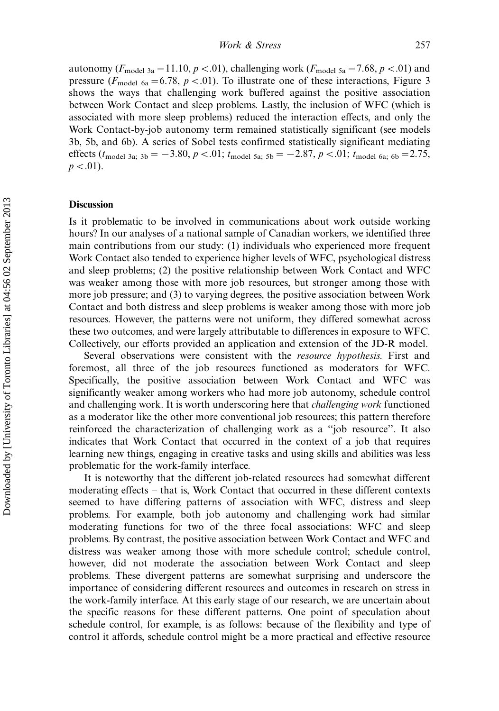autonomy ( $F_{\text{model 3a}} = 11.10, p < 0.01$ ), challenging work ( $F_{\text{model 5a}} = 7.68, p < 0.01$ ) and pressure ( $F_{\text{model 6a}} = 6.78$ ,  $p < .01$ ). To illustrate one of these interactions, Figure 3 shows the ways that challenging work buffered against the positive association between Work Contact and sleep problems. Lastly, the inclusion of WFC (which is associated with more sleep problems) reduced the interaction effects, and only the Work Contact-by-job autonomy term remained statistically significant (see models 3b, 5b, and 6b). A series of Sobel tests confirmed statistically significant mediating effects ( $t_{\text{model 3a; 3b}} = -3.80, p < .01; t_{\text{model 5a; 5b}} = -2.87, p < .01; t_{\text{model 6a; 6b}} = 2.75,$  $p < .01$ ).

#### **Discussion**

Is it problematic to be involved in communications about work outside working hours? In our analyses of a national sample of Canadian workers, we identified three main contributions from our study: (1) individuals who experienced more frequent Work Contact also tended to experience higher levels of WFC, psychological distress and sleep problems; (2) the positive relationship between Work Contact and WFC was weaker among those with more job resources, but stronger among those with more job pressure; and (3) to varying degrees, the positive association between Work Contact and both distress and sleep problems is weaker among those with more job resources. However, the patterns were not uniform, they differed somewhat across these two outcomes, and were largely attributable to differences in exposure to WFC. Collectively, our efforts provided an application and extension of the JD-R model.

Several observations were consistent with the resource hypothesis. First and foremost, all three of the job resources functioned as moderators for WFC. Specifically, the positive association between Work Contact and WFC was significantly weaker among workers who had more job autonomy, schedule control and challenging work. It is worth underscoring here that challenging work functioned as a moderator like the other more conventional job resources; this pattern therefore reinforced the characterization of challenging work as a ''job resource''. It also indicates that Work Contact that occurred in the context of a job that requires learning new things, engaging in creative tasks and using skills and abilities was less problematic for the work-family interface.

It is noteworthy that the different job-related resources had somewhat different moderating effects – that is, Work Contact that occurred in these different contexts seemed to have differing patterns of association with WFC, distress and sleep problems. For example, both job autonomy and challenging work had similar moderating functions for two of the three focal associations: WFC and sleep problems. By contrast, the positive association between Work Contact and WFC and distress was weaker among those with more schedule control; schedule control, however, did not moderate the association between Work Contact and sleep problems. These divergent patterns are somewhat surprising and underscore the importance of considering different resources and outcomes in research on stress in the work-family interface. At this early stage of our research, we are uncertain about the specific reasons for these different patterns. One point of speculation about schedule control, for example, is as follows: because of the flexibility and type of control it affords, schedule control might be a more practical and effective resource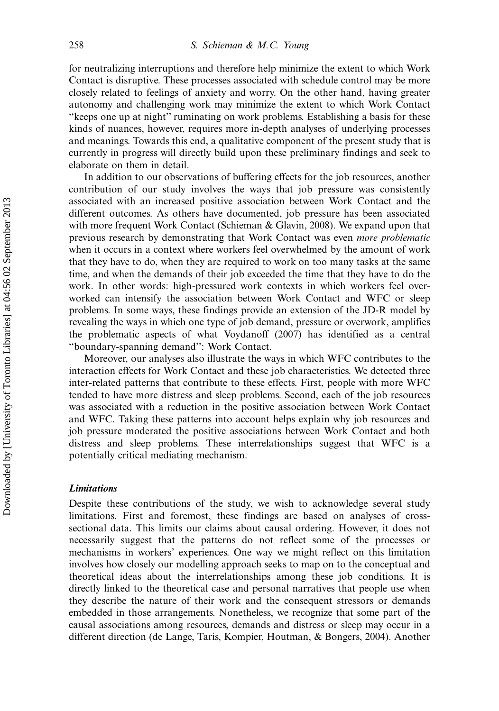for neutralizing interruptions and therefore help minimize the extent to which Work Contact is disruptive. These processes associated with schedule control may be more closely related to feelings of anxiety and worry. On the other hand, having greater autonomy and challenging work may minimize the extent to which Work Contact "keeps one up at night" ruminating on work problems. Establishing a basis for these kinds of nuances, however, requires more in-depth analyses of underlying processes and meanings. Towards this end, a qualitative component of the present study that is currently in progress will directly build upon these preliminary findings and seek to elaborate on them in detail.

In addition to our observations of buffering effects for the job resources, another contribution of our study involves the ways that job pressure was consistently associated with an increased positive association between Work Contact and the different outcomes. As others have documented, job pressure has been associated with more frequent Work Contact (Schieman & Glavin, 2008). We expand upon that previous research by demonstrating that Work Contact was even more problematic when it occurs in a context where workers feel overwhelmed by the amount of work that they have to do, when they are required to work on too many tasks at the same time, and when the demands of their job exceeded the time that they have to do the work. In other words: high-pressured work contexts in which workers feel overworked can intensify the association between Work Contact and WFC or sleep problems. In some ways, these findings provide an extension of the JD-R model by revealing the ways in which one type of job demand, pressure or overwork, amplifies the problematic aspects of what Voydanoff (2007) has identified as a central ''boundary-spanning demand'': Work Contact.

Moreover, our analyses also illustrate the ways in which WFC contributes to the interaction effects for Work Contact and these job characteristics. We detected three inter-related patterns that contribute to these effects. First, people with more WFC tended to have more distress and sleep problems. Second, each of the job resources was associated with a reduction in the positive association between Work Contact and WFC. Taking these patterns into account helps explain why job resources and job pressure moderated the positive associations between Work Contact and both distress and sleep problems. These interrelationships suggest that WFC is a potentially critical mediating mechanism.

#### Limitations

Despite these contributions of the study, we wish to acknowledge several study limitations. First and foremost, these findings are based on analyses of crosssectional data. This limits our claims about causal ordering. However, it does not necessarily suggest that the patterns do not reflect some of the processes or mechanisms in workers' experiences. One way we might reflect on this limitation involves how closely our modelling approach seeks to map on to the conceptual and theoretical ideas about the interrelationships among these job conditions. It is directly linked to the theoretical case and personal narratives that people use when they describe the nature of their work and the consequent stressors or demands embedded in those arrangements. Nonetheless, we recognize that some part of the causal associations among resources, demands and distress or sleep may occur in a different direction (de Lange, Taris, Kompier, Houtman, & Bongers, 2004). Another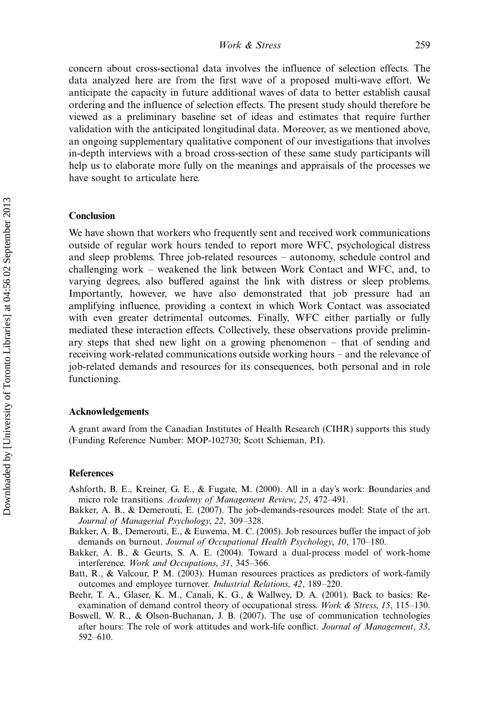concern about cross-sectional data involves the influence of selection effects. The data analyzed here are from the first wave of a proposed multi-wave effort. We anticipate the capacity in future additional waves of data to better establish causal ordering and the influence of selection effects. The present study should therefore be viewed as a preliminary baseline set of ideas and estimates that require further validation with the anticipated longitudinal data. Moreover, as we mentioned above, an ongoing supplementary qualitative component of our investigations that involves in-depth interviews with a broad cross-section of these same study participants will help us to elaborate more fully on the meanings and appraisals of the processes we have sought to articulate here.

#### Conclusion

We have shown that workers who frequently sent and received work communications outside of regular work hours tended to report more WFC, psychological distress and sleep problems. Three job-related resources - autonomy, schedule control and challenging work - weakened the link between Work Contact and WFC, and, to varying degrees, also buffered against the link with distress or sleep problems. Importantly, however, we have also demonstrated that job pressure had an amplifying influence, providing a context in which Work Contact was associated with even greater detrimental outcomes. Finally, WFC either partially or fully mediated these interaction effects. Collectively, these observations provide preliminary steps that shed new light on a growing phenomenon - that of sending and receiving work-related communications outside working hours – and the relevance of job-related demands and resources for its consequences, both personal and in role functioning.

#### Acknowledgements

A grant award from the Canadian Institutes of Health Research (CIHR) supports this study (Funding Reference Number: MOP-102730; Scott Schieman, P.I).

#### References

- Ashforth, B. E., Kreiner, G. E., & Fugate, M. (2000). All in a day's work: Boundaries and micro role transitions. Academy of Management Review, 25, 472-491.
- Bakker, A. B., & Demerouti, E. (2007). The job-demands-resources model: State of the art. Journal of Managerial Psychology, 22, 309-328.
- Bakker, A. B., Demerouti, E., & Euwema, M. C. (2005). Job resources buffer the impact of job demands on burnout. Journal of Occupational Health Psychology, 10, 170-180.
- Bakker, A. B., & Geurts, S. A. E. (2004). Toward a dual-process model of work-home interference. Work and Occupations, 31, 345-366.
- Batt, R., & Valcour, P. M. (2003). Human resources practices as predictors of work-family outcomes and employee turnover. Industrial Relations, 42, 189-220.
- Beehr, T. A., Glaser, K. M., Canali, K. G., & Wallwey, D. A. (2001). Back to basics: Reexamination of demand control theory of occupational stress. Work & Stress, 15, 115–130.
- Boswell, W. R., & Olson-Buchanan, J. B. (2007). The use of communication technologies after hours: The role of work attitudes and work-life conflict. Journal of Management, 33, 592-610.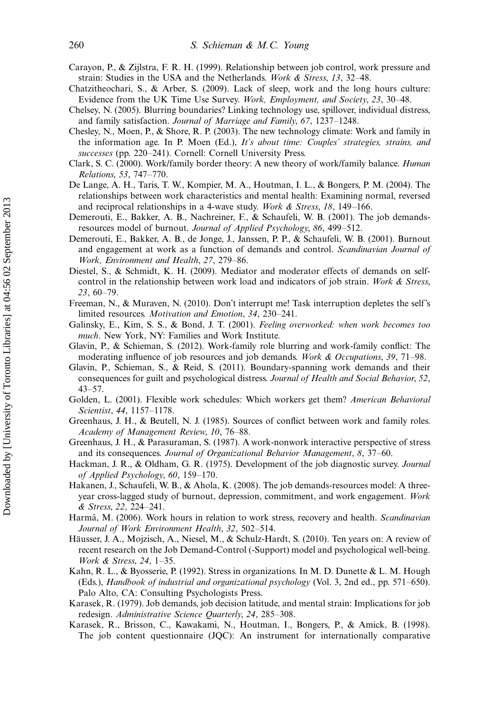- Carayon, P., & Zijlstra, F. R. H. (1999). Relationship between job control, work pressure and strain: Studies in the USA and the Netherlands. Work & Stress, 13, 32-48.
- Chatzitheochari, S., & Arber, S. (2009). Lack of sleep, work and the long hours culture: Evidence from the UK Time Use Survey. Work, Employment, and Society, 23, 30-48.
- Chelsey, N. (2005). Blurring boundaries? Linking technology use, spillover, individual distress, and family satisfaction. Journal of Marriage and Family, 67, 1237-1248.
- Chesley, N., Moen, P., & Shore, R. P. (2003). The new technology climate: Work and family in the information age. In P. Moen (Ed.), It's about time: Couples' strategies, strains, and successes (pp. 220-241). Cornell: Cornell University Press.
- Clark, S. C. (2000). Work/family border theory: A new theory of work/family balance. Human Relations, 53, 747-770.
- De Lange, A. H., Taris, T. W., Kompier, M. A., Houtman, I. L., & Bongers, P. M. (2004). The relationships between work characteristics and mental health: Examining normal, reversed and reciprocal relationships in a 4-wave study. Work & Stress, 18, 149-166.
- Demerouti, E., Bakker, A. B., Nachreiner, F., & Schaufeli, W. B. (2001). The job demandsresources model of burnout. Journal of Applied Psychology, 86, 499-512.
- Demerouti, E., Bakker, A. B., de Jonge, J., Janssen, P. P., & Schaufeli, W. B. (2001). Burnout and engagement at work as a function of demands and control. Scandinavian Journal of Work, Environment and Health, 27, 279-86.
- Diestel, S., & Schmidt, K. H. (2009). Mediator and moderator effects of demands on selfcontrol in the relationship between work load and indicators of job strain. Work & Stress, 23, 60-79.
- Freeman, N., & Muraven, N. (2010). Don't interrupt me! Task interruption depletes the self's limited resources. Motivation and Emotion, 34, 230-241.
- Galinsky, E., Kim, S. S., & Bond, J. T. (2001). Feeling overworked: when work becomes too much. New York, NY: Families and Work Institute.
- Glavin, P., & Schieman, S. (2012). Work-family role blurring and work-family conflict: The moderating influence of job resources and job demands. Work & Occupations, 39, 71–98.
- Glavin, P., Schieman, S., & Reid, S. (2011). Boundary-spanning work demands and their consequences for guilt and psychological distress. Journal of Health and Social Behavior, 52, 43-57.
- Golden, L. (2001). Flexible work schedules: Which workers get them? American Behavioral Scientist, 44, 1157-1178.
- Greenhaus, J. H., & Beutell, N. J. (1985). Sources of conflict between work and family roles. Academy of Management Review, 10, 76-88.
- Greenhaus, J. H., & Parasuraman, S. (1987). A work-nonwork interactive perspective of stress and its consequences. Journal of Organizational Behavior Management, 8, 37-60.
- Hackman, J. R., & Oldham, G. R. (1975). Development of the job diagnostic survey. Journal of Applied Psychology, 60, 159-170.
- Hakanen, J., Schaufeli, W. B., & Ahola, K. (2008). The job demands-resources model: A threeyear cross-lagged study of burnout, depression, commitment, and work engagement. Work & Stress, 22, 224-241.
- Harmä, M. (2006). Work hours in relation to work stress, recovery and health. Scandinavian Journal of Work Environment Health, 32, 502-514.
- Häusser, J. A., Mojzisch, A., Niesel, M., & Schulz-Hardt, S. (2010). Ten years on: A review of recent research on the Job Demand-Control (-Support) model and psychological well-being. Work & Stress, 24, 1-35.
- Kahn, R. L., & Byosserie, P. (1992). Stress in organizations. In M. D. Dunette & L. M. Hough (Eds.), Handbook of industrial and organizational psychology (Vol. 3, 2nd ed., pp. 571-650). Palo Alto, CA: Consulting Psychologists Press.
- Karasek, R. (1979). Job demands, job decision latitude, and mental strain: Implications for job redesign. Administrative Science Quarterly, 24, 285-308.
- Karasek, R., Brisson, C., Kawakami, N., Houtman, I., Bongers, P., & Amick, B. (1998). The job content questionnaire (JQC): An instrument for internationally comparative